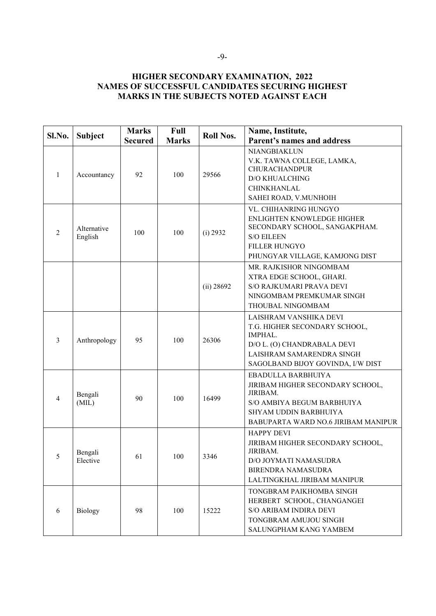## **HIGHER SECONDARY EXAMINATION, 2022 NAMES OF SUCCESSFUL CANDIDATES SECURING HIGHEST MARKS IN THE SUBJECTS NOTED AGAINST EACH**

| Sl.No.         | <b>Subject</b>         | <b>Marks</b><br><b>Secured</b> | Full<br><b>Marks</b> | <b>Roll Nos.</b> | Name, Institute,<br>Parent's names and address                                                                                                                      |
|----------------|------------------------|--------------------------------|----------------------|------------------|---------------------------------------------------------------------------------------------------------------------------------------------------------------------|
| 1              | Accountancy            | 92                             | 100                  | 29566            | NIANGBIAKLUN<br>V.K. TAWNA COLLEGE, LAMKA,<br><b>CHURACHANDPUR</b><br><b>D/O KHUALCHING</b><br><b>CHINKHANLAL</b><br>SAHEI ROAD, V.MUNHOIH                          |
| $\overline{2}$ | Alternative<br>English | 100                            | 100                  | (i) 2932         | VL. CHIHANRING HUNGYO<br>ENLIGHTEN KNOWLEDGE HIGHER<br>SECONDARY SCHOOL, SANGAKPHAM.<br><b>S/O EILEEN</b><br><b>FILLER HUNGYO</b><br>PHUNGYAR VILLAGE, KAMJONG DIST |
|                |                        |                                |                      | (ii) 28692       | MR. RAJKISHOR NINGOMBAM<br>XTRA EDGE SCHOOL, GHARI.<br>S/O RAJKUMARI PRAVA DEVI<br>NINGOMBAM PREMKUMAR SINGH<br>THOUBAL NINGOMBAM                                   |
| 3              | Anthropology           | 95                             | 100                  | 26306            | LAISHRAM VANSHIKA DEVI<br>T.G. HIGHER SECONDARY SCHOOL,<br>IMPHAL.<br>D/O L. (O) CHANDRABALA DEVI<br>LAISHRAM SAMARENDRA SINGH<br>SAGOLBAND BIJOY GOVINDA, I/W DIST |
| 4              | Bengali<br>(MIL)       | 90                             | 100                  | 16499            | EBADULLA BARBHUIYA<br>JIRIBAM HIGHER SECONDARY SCHOOL,<br>JIRIBAM.<br>S/O AMBIYA BEGUM BARBHUIYA<br>SHYAM UDDIN BARBHUIYA<br>BABUPARTA WARD NO.6 JIRIBAM MANIPUR    |
| 5              | Bengali<br>Elective    | 61                             | 100                  | 3346             | <b>HAPPY DEVI</b><br>JIRIBAM HIGHER SECONDARY SCHOOL,<br>JIRIBAM.<br>D/O JOYMATI NAMASUDRA<br><b>BIRENDRA NAMASUDRA</b><br>LALTINGKHAL JIRIBAM MANIPUR              |
| 6              | Biology                | 98                             | 100                  | 15222            | TONGBRAM PAIKHOMBA SINGH<br>HERBERT SCHOOL, CHANGANGEI<br><b>S/O ARIBAM INDIRA DEVI</b><br>TONGBRAM AMUJOU SINGH<br>SALUNGPHAM KANG YAMBEM                          |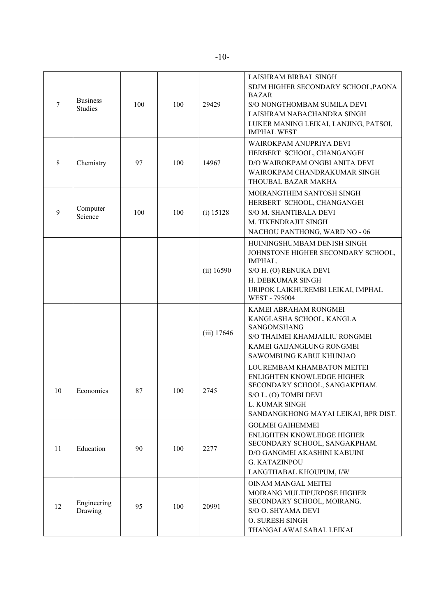| 7  | <b>Business</b><br><b>Studies</b> | 100 | 100 | 29429         | LAISHRAM BIRBAL SINGH<br>SDJM HIGHER SECONDARY SCHOOL, PAONA<br>BAZAR<br>S/O NONGTHOMBAM SUMILA DEVI<br>LAISHRAM NABACHANDRA SINGH<br>LUKER MANING LEIKAI, LANJING, PATSOI,<br><b>IMPHAL WEST</b> |
|----|-----------------------------------|-----|-----|---------------|---------------------------------------------------------------------------------------------------------------------------------------------------------------------------------------------------|
| 8  | Chemistry                         | 97  | 100 | 14967         | WAIROKPAM ANUPRIYA DEVI<br>HERBERT SCHOOL, CHANGANGEI<br>D/O WAIROKPAM ONGBI ANITA DEVI<br>WAIROKPAM CHANDRAKUMAR SINGH<br>THOUBAL BAZAR MAKHA                                                    |
| 9  | Computer<br>Science               | 100 | 100 | (i) 15128     | MOIRANGTHEM SANTOSH SINGH<br>HERBERT SCHOOL, CHANGANGEI<br>S/O M. SHANTIBALA DEVI<br>M. TIKENDRAJIT SINGH<br>NACHOU PANTHONG, WARD NO - 06                                                        |
|    |                                   |     |     | (ii) 16590    | HUININGSHUMBAM DENISH SINGH<br>JOHNSTONE HIGHER SECONDARY SCHOOL,<br>IMPHAL.<br>S/O H. (O) RENUKA DEVI<br>H. DEBKUMAR SINGH<br>URIPOK LAIKHUREMBI LEIKAI, IMPHAL<br>WEST - 795004                 |
|    |                                   |     |     | $(iii)$ 17646 | KAMEI ABRAHAM RONGMEI<br>KANGLASHA SCHOOL, KANGLA<br>SANGOMSHANG<br>S/O THAIMEI KHAMJAILIU RONGMEI<br>KAMEI GAIJANGLUNG RONGMEI<br>SAWOMBUNG KABUI KHUNJAO                                        |
| 10 | Economics                         | 87  | 100 | 2745          | LOUREMBAM KHAMBATON MEITEI<br>ENLIGHTEN KNOWLEDGE HIGHER<br>SECONDARY SCHOOL, SANGAKPHAM.<br>S/O L. (O) TOMBI DEVI<br>L. KUMAR SINGH<br>SANDANGKHONG MAYAI LEIKAI, BPR DIST.                      |
| 11 | Education                         | 90  | 100 | 2277          | <b>GOLMEI GAIHEMMEI</b><br><b>ENLIGHTEN KNOWLEDGE HIGHER</b><br>SECONDARY SCHOOL, SANGAKPHAM.<br>D/O GANGMEI AKASHINI KABUINI<br><b>G. KATAZINPOU</b><br>LANGTHABAL KHOUPUM, I/W                  |
| 12 | Engineering<br>Drawing            | 95  | 100 | 20991         | <b>OINAM MANGAL MEITEI</b><br>MOIRANG MULTIPURPOSE HIGHER<br>SECONDARY SCHOOL, MOIRANG.<br>S/O O. SHYAMA DEVI<br>O. SURESH SINGH<br>THANGALAWAI SABAL LEIKAI                                      |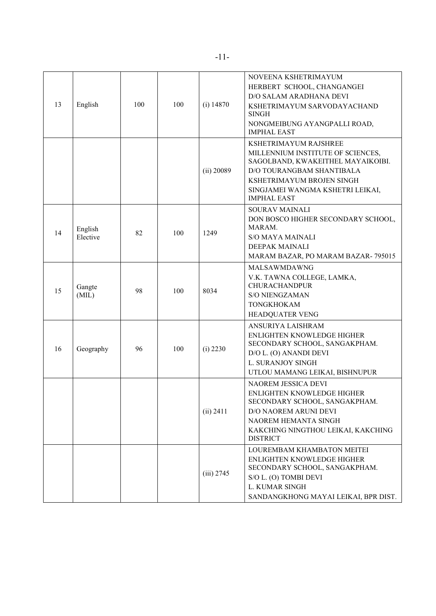| 13 | English             | 100 | 100 | $(i)$ 14870  | NOVEENA KSHETRIMAYUM<br>HERBERT SCHOOL, CHANGANGEI<br><b>D/O SALAM ARADHANA DEVI</b><br>KSHETRIMAYUM SARVODAYACHAND<br>SINGH<br>NONGMEIBUNG AYANGPALLI ROAD,<br><b>IMPHAL EAST</b>                                  |
|----|---------------------|-----|-----|--------------|---------------------------------------------------------------------------------------------------------------------------------------------------------------------------------------------------------------------|
|    |                     |     |     | $(ii)$ 20089 | KSHETRIMAYUM RAJSHREE<br>MILLENNIUM INSTITUTE OF SCIENCES,<br>SAGOLBAND, KWAKEITHEL MAYAIKOIBI.<br>D/O TOURANGBAM SHANTIBALA<br>KSHETRIMAYUM BROJEN SINGH<br>SINGJAMEI WANGMA KSHETRI LEIKAI,<br><b>IMPHAL EAST</b> |
| 14 | English<br>Elective | 82  | 100 | 1249         | <b>SOURAV MAINALI</b><br>DON BOSCO HIGHER SECONDARY SCHOOL,<br>MARAM.<br><b>S/O MAYA MAINALI</b><br><b>DEEPAK MAINALI</b><br>MARAM BAZAR, PO MARAM BAZAR-795015                                                     |
| 15 | Gangte<br>(MIL)     | 98  | 100 | 8034         | MALSAWMDAWNG<br>V.K. TAWNA COLLEGE, LAMKA,<br><b>CHURACHANDPUR</b><br><b>S/O NIENGZAMAN</b><br><b>TONGKHOKAM</b><br>HEADQUATER VENG                                                                                 |
| 16 | Geography           | 96  | 100 | $(i)$ 2230   | ANSURIYA LAISHRAM<br>ENLIGHTEN KNOWLEDGE HIGHER<br>SECONDARY SCHOOL, SANGAKPHAM.<br>D/O L. (O) ANANDI DEVI<br>L. SURANJOY SINGH<br>UTLOU MAMANG LEIKAI, BISHNUPUR                                                   |
|    |                     |     |     | (ii) 2411    | <b>NAOREM JESSICA DEVI</b><br>ENLIGHTEN KNOWLEDGE HIGHER<br>SECONDARY SCHOOL, SANGAKPHAM.<br>D/O NAOREM ARUNI DEVI<br>NAOREM HEMANTA SINGH<br>KAKCHING NINGTHOU LEIKAI, KAKCHING<br><b>DISTRICT</b>                 |
|    |                     |     |     | $(iii)$ 2745 | LOUREMBAM KHAMBATON MEITEI<br>ENLIGHTEN KNOWLEDGE HIGHER<br>SECONDARY SCHOOL, SANGAKPHAM.<br>S/O L. (O) TOMBI DEVI<br>L. KUMAR SINGH<br>SANDANGKHONG MAYAI LEIKAI, BPR DIST.                                        |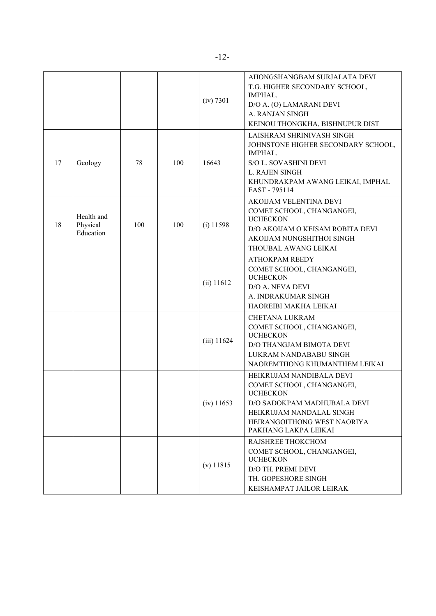|    |                                     |     |     | (iv) 7301     | AHONGSHANGBAM SURJALATA DEVI<br>T.G. HIGHER SECONDARY SCHOOL,<br>IMPHAL.<br>D/O A. (O) LAMARANI DEVI<br>A. RANJAN SINGH<br>KEINOU THONGKHA, BISHNUPUR DIST                                 |
|----|-------------------------------------|-----|-----|---------------|--------------------------------------------------------------------------------------------------------------------------------------------------------------------------------------------|
| 17 | Geology                             | 78  | 100 | 16643         | LAISHRAM SHRINIVASH SINGH<br>JOHNSTONE HIGHER SECONDARY SCHOOL,<br>IMPHAL.<br>S/O L. SOVASHINI DEVI<br>L. RAJEN SINGH<br>KHUNDRAKPAM AWANG LEIKAI, IMPHAL<br>EAST - 795114                 |
| 18 | Health and<br>Physical<br>Education | 100 | 100 | $(i)$ 11598   | AKOIJAM VELENTINA DEVI<br>COMET SCHOOL, CHANGANGEI,<br><b>UCHECKON</b><br>D/O AKOIJAM O KEISAM ROBITA DEVI<br>AKOIJAM NUNGSHITHOI SINGH<br>THOUBAL AWANG LEIKAI                            |
|    |                                     |     |     | (ii) 11612    | <b>ATHOKPAM REEDY</b><br>COMET SCHOOL, CHANGANGEI,<br><b>UCHECKON</b><br>D/O A. NEVA DEVI<br>A. INDRAKUMAR SINGH<br>HAOREIBI MAKHA LEIKAI                                                  |
|    |                                     |     |     | $(iii)$ 11624 | <b>CHETANA LUKRAM</b><br>COMET SCHOOL, CHANGANGEI,<br><b>UCHECKON</b><br>D/O THANGJAM BIMOTA DEVI<br>LUKRAM NANDABABU SINGH<br>NAOREMTHONG KHUMANTHEM LEIKAI                               |
|    |                                     |     |     | $(iv)$ 11653  | HEIKRUJAM NANDIBALA DEVI<br>COMET SCHOOL, CHANGANGEI,<br><b>UCHECKON</b><br>D/O SADOKPAM MADHUBALA DEVI<br>HEIKRUJAM NANDALAL SINGH<br>HEIRANGOITHONG WEST NAORIYA<br>PAKHANG LAKPA LEIKAI |
|    |                                     |     |     | $(v)$ 11815   | RAJSHREE THOKCHOM<br>COMET SCHOOL, CHANGANGEI,<br><b>UCHECKON</b><br>D/O TH. PREMI DEVI<br>TH. GOPESHORE SINGH<br>KEISHAMPAT JAILOR LEIRAK                                                 |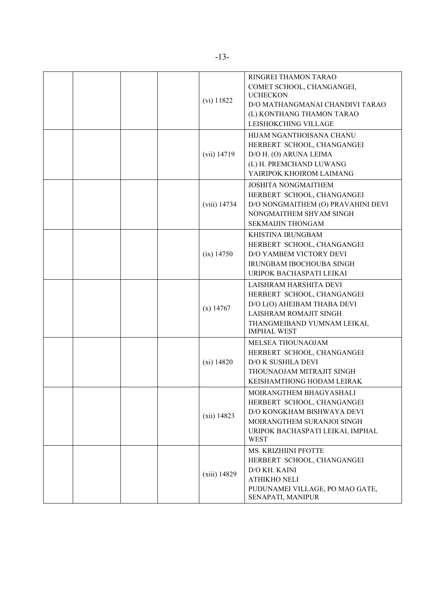|  |  | $(vi)$ 11822   | RINGREI THAMON TARAO<br>COMET SCHOOL, CHANGANGEI,<br><b>UCHECKON</b><br>D/O MATHANGMANAI CHANDIVI TARAO<br>(L) KONTHANG THAMON TARAO<br>LEISHOKCHING VILLAGE         |
|--|--|----------------|----------------------------------------------------------------------------------------------------------------------------------------------------------------------|
|  |  | $(vii)$ 14719  | HIJAM NGANTHOISANA CHANU<br>HERBERT SCHOOL, CHANGANGEI<br>D/O H. (O) ARUNA LEIMA<br>(L) H. PREMCHAND LUWANG<br>YAIRIPOK KHOIROM LAIMANG                              |
|  |  | (viii) 14734   | <b>JOSHITA NONGMAITHEM</b><br>HERBERT SCHOOL, CHANGANGEI<br>D/O NONGMAITHEM (O) PRAVAHINI DEVI<br>NONGMAITHEM SHYAM SINGH<br><b>SEKMAIJIN THONGAM</b>                |
|  |  | $(ix)$ 14750   | KHISTINA IRUNGBAM<br>HERBERT SCHOOL, CHANGANGEI<br>D/O YAMBEM VICTORY DEVI<br>IRUNGBAM IBOCHOUBA SINGH<br>URIPOK BACHASPATI LEIKAI                                   |
|  |  | $(x)$ 14767    | LAISHRAM HARSHITA DEVI<br>HERBERT SCHOOL, CHANGANGEI<br>D/O L(O) AHEIBAM THABA DEVI<br>LAISHRAM ROMAJIT SINGH<br>THANGMEIBAND YUMNAM LEIKAI,<br><b>IMPHAL WEST</b>   |
|  |  | $(xi)$ 14820   | MELSEA THOUNAOJAM<br>HERBERT SCHOOL, CHANGANGEI<br>D/O K SUSHILA DEVI<br>THOUNAOJAM MITRAJIT SINGH<br>KEISHAMTHONG HODAM LEIRAK                                      |
|  |  | $(xii)$ 14823  | MOIRANGTHEM BHAGYASHALI<br>HERBERT SCHOOL, CHANGANGEI<br>D/O KONGKHAM BISHWAYA DEVI<br>MOIRANGTHEM SURANJOI SINGH<br>URIPOK BACHASPATI LEIKAI, IMPHAL<br><b>WEST</b> |
|  |  | $(xiii)$ 14829 | MS. KRIZHIINI PFOTTE<br>HERBERT SCHOOL, CHANGANGEI<br>D/O KH. KAINI<br><b>ATHIKHO NELI</b><br>PUDUNAMEI VILLAGE, PO MAO GATE,<br>SENAPATI, MANIPUR                   |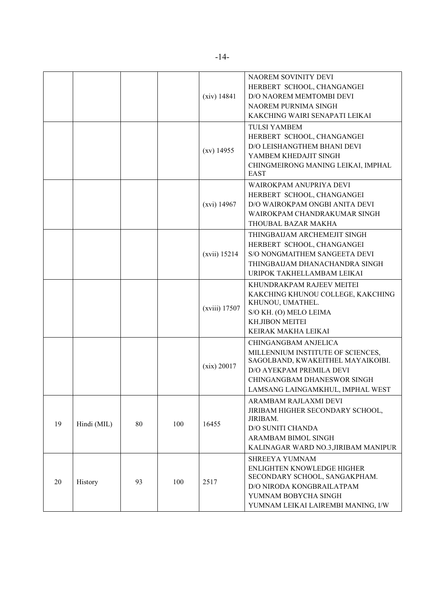|    |             |    |     | (xiv) 14841    | NAOREM SOVINITY DEVI<br>HERBERT SCHOOL, CHANGANGEI<br>D/O NAOREM MEMTOMBI DEVI<br>NAOREM PURNIMA SINGH<br>KAKCHING WAIRI SENAPATI LEIKAI                                                      |
|----|-------------|----|-----|----------------|-----------------------------------------------------------------------------------------------------------------------------------------------------------------------------------------------|
|    |             |    |     | $(xv)$ 14955   | <b>TULSI YAMBEM</b><br>HERBERT SCHOOL, CHANGANGEI<br>D/O LEISHANGTHEM BHANI DEVI<br>YAMBEM KHEDAJIT SINGH<br>CHINGMEIRONG MANING LEIKAI, IMPHAL<br><b>EAST</b>                                |
|    |             |    |     | $(xvi)$ 14967  | WAIROKPAM ANUPRIYA DEVI<br>HERBERT SCHOOL, CHANGANGEI<br>D/O WAIROKPAM ONGBI ANITA DEVI<br>WAIROKPAM CHANDRAKUMAR SINGH<br>THOUBAL BAZAR MAKHA                                                |
|    |             |    |     | $(xvii)$ 15214 | THINGBAIJAM ARCHEMEJIT SINGH<br>HERBERT SCHOOL, CHANGANGEI<br>S/O NONGMAITHEM SANGEETA DEVI<br>THINGBAIJAM DHANACHANDRA SINGH<br>URIPOK TAKHELLAMBAM LEIKAI                                   |
|    |             |    |     | (xviii) 17507  | KHUNDRAKPAM RAJEEV MEITEI<br>KAKCHING KHUNOU COLLEGE, KAKCHING<br>KHUNOU, UMATHEL.<br>S/O KH. (O) MELO LEIMA<br><b>KH.JIBON MEITEI</b><br>KEIRAK MAKHA LEIKAI                                 |
|    |             |    |     | (xix) 20017    | CHINGANGBAM ANJELICA<br>MILLENNIUM INSTITUTE OF SCIENCES,<br>SAGOLBAND, KWAKEITHEL MAYAIKOIBI.<br>D/O AYEKPAM PREMILA DEVI<br>CHINGANGBAM DHANESWOR SINGH<br>LAMSANG LAINGAMKHUL, IMPHAL WEST |
| 19 | Hindi (MIL) | 80 | 100 | 16455          | ARAMBAM RAJLAXMI DEVI<br>JIRIBAM HIGHER SECONDARY SCHOOL,<br>JIRIBAM.<br><b>D/O SUNITI CHANDA</b><br>ARAMBAM BIMOL SINGH<br>KALINAGAR WARD NO.3, JIRIBAM MANIPUR                              |
| 20 | History     | 93 | 100 | 2517           | SHREEYA YUMNAM<br>ENLIGHTEN KNOWLEDGE HIGHER<br>SECONDARY SCHOOL, SANGAKPHAM.<br>D/O NIRODA KONGBRAILATPAM<br>YUMNAM BOBYCHA SINGH<br>YUMNAM LEIKAI LAIREMBI MANING, I/W                      |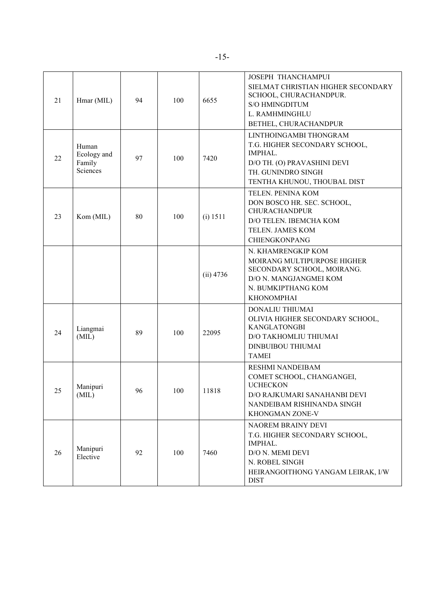| 21 | Hmar (MIL)                                 | 94 | 100 | 6655        | JOSEPH THANCHAMPUI<br>SIELMAT CHRISTIAN HIGHER SECONDARY<br>SCHOOL, CHURACHANDPUR.<br><b>S/O HMINGDITUM</b><br>L. RAMHMINGHLU<br>BETHEL, CHURACHANDPUR   |
|----|--------------------------------------------|----|-----|-------------|----------------------------------------------------------------------------------------------------------------------------------------------------------|
| 22 | Human<br>Ecology and<br>Family<br>Sciences | 97 | 100 | 7420        | LINTHOINGAMBI THONGRAM<br>T.G. HIGHER SECONDARY SCHOOL,<br>IMPHAL.<br>D/O TH. (O) PRAVASHINI DEVI<br>TH. GUNINDRO SINGH<br>TENTHA KHUNOU, THOUBAL DIST   |
| 23 | Kom (MIL)                                  | 80 | 100 | (i) 1511    | TELEN. PENINA KOM<br>DON BOSCO HR. SEC. SCHOOL,<br><b>CHURACHANDPUR</b><br>D/O TELEN. IBEMCHA KOM<br>TELEN. JAMES KOM<br><b>CHIENGKONPANG</b>            |
|    |                                            |    |     | $(ii)$ 4736 | N. KHAMRENGKIP KOM<br>MOIRANG MULTIPURPOSE HIGHER<br>SECONDARY SCHOOL, MOIRANG.<br>D/O N. MANGJANGMEI KOM<br>N. BUMKIPTHANG KOM<br><b>KHONOMPHAI</b>     |
| 24 | Liangmai<br>(MIL)                          | 89 | 100 | 22095       | DONALIU THIUMAI<br>OLIVIA HIGHER SECONDARY SCHOOL,<br><b>KANGLATONGBI</b><br>D/O TAKHOMLIU THIUMAI<br><b>DINBUIBOU THIUMAI</b><br><b>TAMEI</b>           |
| 25 | Manipuri<br>(MIL)                          | 96 | 100 | 11818       | <b>RESHMI NANDEIBAM</b><br>COMET SCHOOL, CHANGANGEI,<br><b>UCHECKON</b><br>D/O RAJKUMARI SANAHANBI DEVI<br>NANDEIBAM RISHINANDA SINGH<br>KHONGMAN ZONE-V |
| 26 | Manipuri<br>Elective                       | 92 | 100 | 7460        | NAOREM BRAINY DEVI<br>T.G. HIGHER SECONDARY SCHOOL,<br>IMPHAL.<br>D/O N. MEMI DEVI<br>N. ROBEL SINGH<br>HEIRANGOITHONG YANGAM LEIRAK, I/W<br><b>DIST</b> |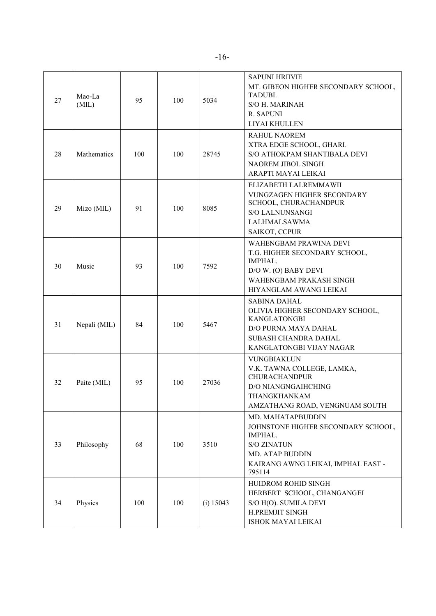| 27 | Mao-La<br>(MIL) | 95  | 100 | 5034      | <b>SAPUNI HRIIVIE</b><br>MT. GIBEON HIGHER SECONDARY SCHOOL,<br><b>TADUBI.</b><br><b>S/O H. MARINAH</b><br>R. SAPUNI<br>LIYAI KHULLEN                              |
|----|-----------------|-----|-----|-----------|--------------------------------------------------------------------------------------------------------------------------------------------------------------------|
| 28 | Mathematics     | 100 | 100 | 28745     | <b>RAHUL NAOREM</b><br>XTRA EDGE SCHOOL, GHARI.<br>S/O ATHOKPAM SHANTIBALA DEVI<br>NAOREM JIBOL SINGH<br>ARAPTI MAYAI LEIKAI                                       |
| 29 | Mizo (MIL)      | 91  | 100 | 8085      | ELIZABETH LALREMMAWII<br>VUNGZAGEN HIGHER SECONDARY<br>SCHOOL, CHURACHANDPUR<br><b>S/O LALNUNSANGI</b><br>LALHMALSAWMA<br>SAIKOT, CCPUR                            |
| 30 | Music           | 93  | 100 | 7592      | WAHENGBAM PRAWINA DEVI<br>T.G. HIGHER SECONDARY SCHOOL,<br>IMPHAL.<br>D/O W. (O) BABY DEVI<br>WAHENGBAM PRAKASH SINGH<br>HIYANGLAM AWANG LEIKAI                    |
| 31 | Nepali (MIL)    | 84  | 100 | 5467      | <b>SABINA DAHAL</b><br>OLIVIA HIGHER SECONDARY SCHOOL,<br><b>KANGLATONGBI</b><br>D/O PURNA MAYA DAHAL<br>SUBASH CHANDRA DAHAL<br>KANGLATONGBI VIJAY NAGAR          |
| 32 | Paite (MIL)     | 95  | 100 | 27036     | <b>VUNGBIAKLUN</b><br>V.K. TAWNA COLLEGE, LAMKA,<br><b>CHURACHANDPUR</b><br><b>D/O NIANGNGAIHCHING</b><br>THANGKHANKAM<br>AMZATHANG ROAD, VENGNUAM SOUTH           |
| 33 | Philosophy      | 68  | 100 | 3510      | MD. MAHATAPBUDDIN<br>JOHNSTONE HIGHER SECONDARY SCHOOL,<br>IMPHAL.<br><b>S/O ZINATUN</b><br><b>MD. ATAP BUDDIN</b><br>KAIRANG AWNG LEIKAI, IMPHAL EAST -<br>795114 |
| 34 | Physics         | 100 | 100 | (i) 15043 | HUIDROM ROHID SINGH<br>HERBERT SCHOOL, CHANGANGEI<br>S/O H(O). SUMILA DEVI<br>H.PREMJIT SINGH<br>ISHOK MAYAI LEIKAI                                                |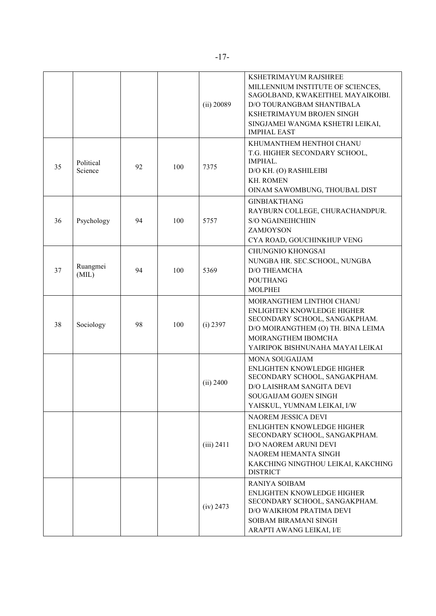|    |                      |    |     | (ii) 20089   | KSHETRIMAYUM RAJSHREE<br>MILLENNIUM INSTITUTE OF SCIENCES,<br>SAGOLBAND, KWAKEITHEL MAYAIKOIBI.<br>D/O TOURANGBAM SHANTIBALA<br>KSHETRIMAYUM BROJEN SINGH<br>SINGJAMEI WANGMA KSHETRI LEIKAI,<br><b>IMPHAL EAST</b> |
|----|----------------------|----|-----|--------------|---------------------------------------------------------------------------------------------------------------------------------------------------------------------------------------------------------------------|
| 35 | Political<br>Science | 92 | 100 | 7375         | KHUMANTHEM HENTHOI CHANU<br>T.G. HIGHER SECONDARY SCHOOL,<br>IMPHAL.<br>D/O KH. (O) RASHILEIBI<br><b>KH. ROMEN</b><br>OINAM SAWOMBUNG, THOUBAL DIST                                                                 |
| 36 | Psychology           | 94 | 100 | 5757         | <b>GINBIAKTHANG</b><br>RAYBURN COLLEGE, CHURACHANDPUR.<br><b>S/O NGAINEIHCHIIN</b><br>ZAMJOYSON<br>CYA ROAD, GOUCHINKHUP VENG                                                                                       |
| 37 | Ruangmei<br>(MIL)    | 94 | 100 | 5369         | <b>CHUNGNIO KHONGSAI</b><br>NUNGBA HR. SEC.SCHOOL, NUNGBA<br><b>D/O THEAMCHA</b><br><b>POUTHANG</b><br><b>MOLPHEI</b>                                                                                               |
| 38 | Sociology            | 98 | 100 | $(i)$ 2397   | MOIRANGTHEM LINTHOI CHANU<br>ENLIGHTEN KNOWLEDGE HIGHER<br>SECONDARY SCHOOL, SANGAKPHAM.<br>D/O MOIRANGTHEM (O) TH. BINA LEIMA<br>MOIRANGTHEM IBOMCHA<br>YAIRIPOK BISHNUNAHA MAYAI LEIKAI                           |
|    |                      |    |     | (ii) 2400    | <b>MONA SOUGAIJAM</b><br>ENLIGHTEN KNOWLEDGE HIGHER<br>SECONDARY SCHOOL, SANGAKPHAM.<br>D/O LAISHRAM SANGITA DEVI<br>SOUGAIJAM GOJEN SINGH<br>YAISKUL, YUMNAM LEIKAI, I/W                                           |
|    |                      |    |     | $(iii)$ 2411 | <b>NAOREM JESSICA DEVI</b><br>ENLIGHTEN KNOWLEDGE HIGHER<br>SECONDARY SCHOOL, SANGAKPHAM.<br>D/O NAOREM ARUNI DEVI<br>NAOREM HEMANTA SINGH<br>KAKCHING NINGTHOU LEIKAI, KAKCHING<br><b>DISTRICT</b>                 |
|    |                      |    |     | (iv) 2473    | <b>RANIYA SOIBAM</b><br>ENLIGHTEN KNOWLEDGE HIGHER<br>SECONDARY SCHOOL, SANGAKPHAM.<br>D/O WAIKHOM PRATIMA DEVI<br>SOIBAM BIRAMANI SINGH<br>ARAPTI AWANG LEIKAI, I/E                                                |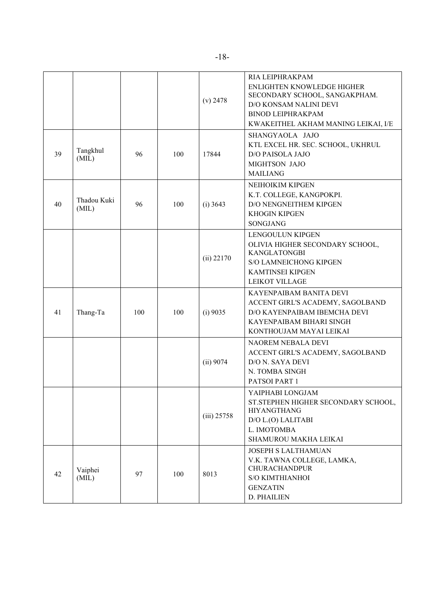|    |                      |     |     | $(v)$ 2478    | RIA LEIPHRAKPAM<br><b>ENLIGHTEN KNOWLEDGE HIGHER</b><br>SECONDARY SCHOOL, SANGAKPHAM.<br>D/O KONSAM NALINI DEVI<br><b>BINOD LEIPHRAKPAM</b><br>KWAKEITHEL AKHAM MANING LEIKAI, I/E |
|----|----------------------|-----|-----|---------------|------------------------------------------------------------------------------------------------------------------------------------------------------------------------------------|
| 39 | Tangkhul<br>(MIL)    | 96  | 100 | 17844         | SHANGYAOLA JAJO<br>KTL EXCEL HR. SEC. SCHOOL, UKHRUL<br>D/O PAISOLA JAJO<br>MIGHTSON JAJO<br><b>MAILIANG</b>                                                                       |
| 40 | Thadou Kuki<br>(MIL) | 96  | 100 | $(i)$ 3643    | NEIHOIKIM KIPGEN<br>K.T. COLLEGE, KANGPOKPI.<br>D/O NENGNEITHEM KIPGEN<br><b>KHOGIN KIPGEN</b><br>SONGJANG                                                                         |
|    |                      |     |     | $(ii)$ 22170  | LENGOULUN KIPGEN<br>OLIVIA HIGHER SECONDARY SCHOOL,<br><b>KANGLATONGBI</b><br><b>S/O LAMNEICHONG KIPGEN</b><br><b>KAMTINSEI KIPGEN</b><br><b>LEIKOT VILLAGE</b>                    |
| 41 | Thang-Ta             | 100 | 100 | (i) 9035      | KAYENPAIBAM BANITA DEVI<br>ACCENT GIRL'S ACADEMY, SAGOLBAND<br>D/O KAYENPAIBAM IBEMCHA DEVI<br>KAYENPAIBAM BIHARI SINGH<br>KONTHOUJAM MAYAI LEIKAI                                 |
|    |                      |     |     | (ii) 9074     | NAOREM NEBALA DEVI<br>ACCENT GIRL'S ACADEMY, SAGOLBAND<br>D/O N. SAYA DEVI<br>N. TOMBA SINGH<br>PATSOI PART 1                                                                      |
|    |                      |     |     | $(iii)$ 25758 | YAIPHABI LONGJAM<br>ST. STEPHEN HIGHER SECONDARY SCHOOL,<br><b>HIYANGTHANG</b><br>D/O L.(O) LALITABI<br>L. IMOTOMBA<br>SHAMUROU MAKHA LEIKAI                                       |
| 42 | Vaiphei<br>(MIL)     | 97  | 100 | 8013          | <b>JOSEPH S LALTHAMUAN</b><br>V.K. TAWNA COLLEGE, LAMKA,<br><b>CHURACHANDPUR</b><br><b>S/O KIMTHIANHOI</b><br><b>GENZATIN</b><br>D. PHAILIEN                                       |